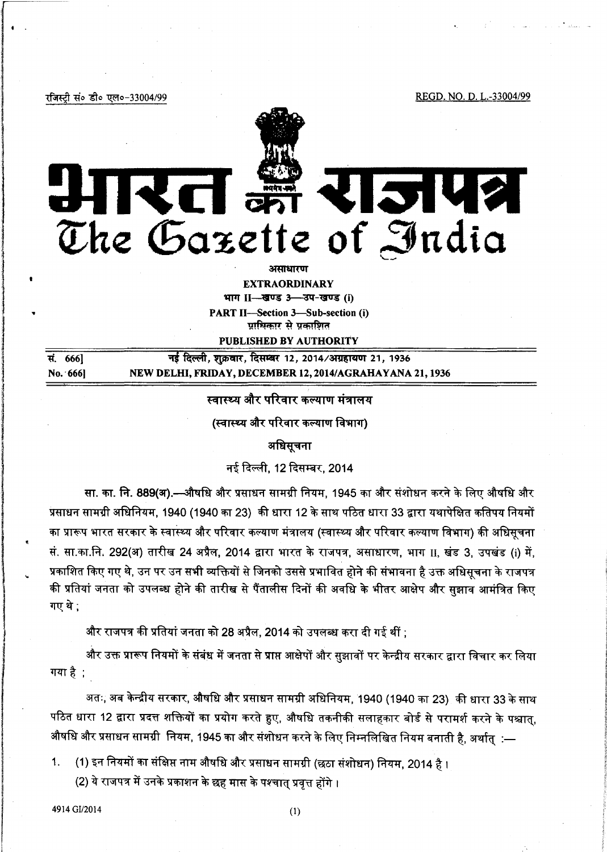REGD. NO. D. L.-33004/99

रजिस्टी सं० डी० एल०-33004/99

 $\sqrt{2\pi}$ 

 $\vert \cdot \vert$ 

l •

l

...

1 ing an ann am Seanaich<br>Iomraidhean j

in de la grande de la grande de la grande de la grande de la grande de la grande de la grande de la grande de<br>En la grande de la grande de la grande de la grande de la grande de la grande de la grande de la grande de la



**EXTRAORDINARY** 

भाग II-स्रुपड 3-उप-खण्ड (i) PART II-Section 3-Sub-section (i) प्राधिकार से प्रकाशित

PUBLISHED BY AUTHORITY

सं. 666] नई दिल्ली, शुक्रवार, दिसम्बर 12, 2014/अग्रहायण 21, 1936 No. ·666] NEW DELHI, FRIDAY, DECEMBER 12, 2014/AGRAHAYANA 21,1936

स्वास्थ्य और परिवार कल्याण मंत्रालय

(स्वास्थ्य और परिवार कल्याण विभाग)

अधिसचना

नई दिल्ली, 12 दिसम्बर, 2014

सा. का. नि. 889(अ).—औषधि और प्रसाधन सामग्री नियम, 1945 का और संशोधन करने के लिए औषधि और प्रसाधन सामग्री अधिनियम, 1940 (1940 का 23) की धारा 12 के साथ पठित धारा 33 द्वारा यथापेक्षित कतिपय नियमों का प्रारूप भारत सरकार के स्वास्थ्य और परिवार कल्याण मंत्रालय (स्वास्थ्य और परिवार कल्याण विभाग) की अधिसूचना सं. सा.का.नि. 292(अ) तारीख 24 अप्रैल, 2014 द्वारा भारत के राजपत्र, असाधारण, भाग II, खंड 3, उपखंड (i) में, प्रकाशित किए गए थे, उन पर उन सभी व्यक्तियों से जिनको उससे प्रभावित होने की संभावना है उक्त अधिसूचना के राजपत्र की प्रतियां जनता को उपलब्ध होने की तारीख से पैंतालीस दिनों की अवधि के भीतर आक्षेप और सुझाव आमंत्रित किए गए थे :

और राजपत्र की प्रतियां जनता को 28 अप्रैल, 2014 को उपलब्ध करा दी गई थीं ;

और उक्त प्रारूप नियमों के संबंध में जनता से प्राप्त आक्षेपों और सुझावों पर केन्द्रीय सरकार द्वारा विचार कर लिया गया है $\,$  ;

अतः, अब केन्द्रीय सरकार, औषधि और प्रसाधन सामग्री अधिनियम, 1940 (1940 का 23). की धारा 33 के साथ पठित धारा 12 द्वारा प्रदत्त शक्तियों का प्रयोग करते हुए, औषधि तकनीकी सलाहकार बोर्ड से परामर्श करने के पश्चात. औषधि और प्रसाधन सामग्री नियम, 1945 का और संशोधन करने के लिए निम्नलिखित नियम बनाती है, अर्थात् :—

1. (1) इन नियमों का संक्षिप्त नाम औषधि और प्रसाधन सामग्री (छठा संशोधन) नियम, 2014 है ।

(2) ये राजपत्र में उनके प्रकाशन के छह मास के पश्चातु प्रवृत्त होंगे ।

4914 GI/2014 (1)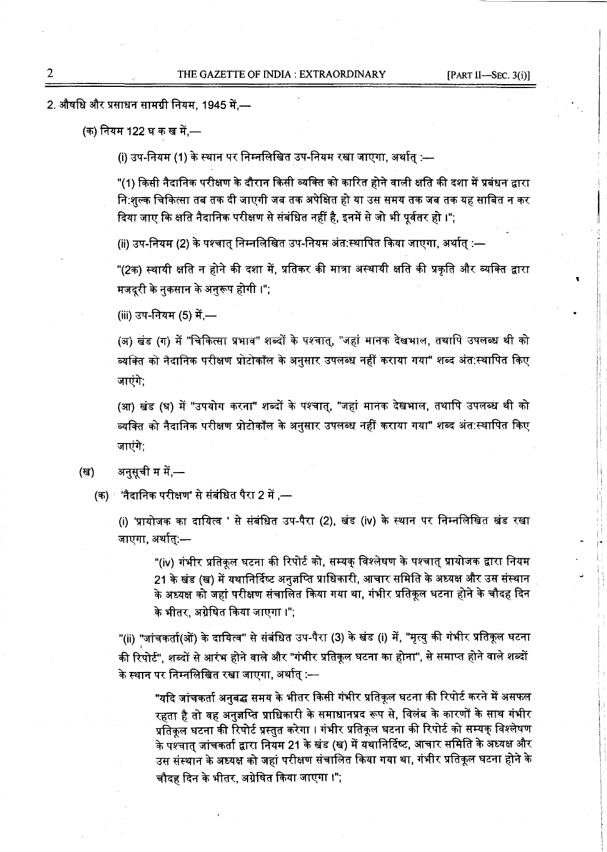'

i. I: 1' I i

2. औषधि और प्रसाधन सामग्री नियम, 1945 में,—

(क) नियम 122 घ क ख में,—

(i) उप-नियम (1) के स्थान पर निम्नलिखित उप-नियम रखा जाएगा, अर्थात् :—

"(1) किसी नैदानिक परीक्षण के दौरान किसी व्यक्ति को कारित होने वाली क्षति की दशा में प्रबंधन द्वारा <u>नि:शुल्क चिकित्सा तब तक दी जाएगी जब तक अपेक्षित हो या उस समय तक जब तक यह साबित न कर</u> दिया जाए कि क्षति नैदानिक परीक्षण से संबंधित नहीं है, इनमें से जो भी पूर्वतर हो ।";

(ii) उप-नियम (2) के पश्चात् निम्नलिखित उप-नियम अंत:स्थापित किया जाएगा, अर्थात् :—

"(2क) स्थायी क्षति न होने की दशा में, प्रतिकर की मात्रा अस्थायी क्षति की प्रकृति और व्यक्ति द्वारा मजदरी के नकसान के अनुरूप होगी ।";

(iii) उप-नियम (5) में.—

(अ) खंड (ग) में "चिकित्सा प्रभाव" शब्दों के पश्चात्, "जहां मानक देखभाल, तथापि उपलब्ध थी को व्यक्ति को नैदानिक परीक्षण प्रोटोकॉल के अनुसार उपलब्ध नहीं कराया गया" शब्द अंत:स्थापित किए जाएंगे;

(आ) खंड (घ) में "उपयोग करना" शब्दों के पश्चात्, "जहां मानक देखभाल, तथापि उपलब्ध थी को व्यक्ति को नैदानिक परीक्षण प्रोटोकॉल के अनुसार उपलब्ध नहीं कराया गया" शब्द अंत:स्थापित किए जाएंगे;

(ख) अनुसूची म में,—

 $(m)$  'नैदानिक परीक्षण' से संबंधित पैरा 2 में ,—

(i) 'प्रायोजक का दायित्व ' से संबंधित उप-पैरा (2), खंड (iv) के स्थान पर निम्नलिखित खंड रखा जाएगा. अर्थात:—

"(iv) गंभीर प्रतिकूल घटना की रिपोर्ट को, सम्यक् विश्लेषण के पश्चात् प्रायोजक द्वारा नियम 21 के खंड (ख) में यथानिर्दिष्ट अनुज्ञप्ति प्राधिकारी, आचार समिति के अध्यक्ष और उस संस्थान के अध्यक्ष को जहां परीक्षण संचालित किया गया था, गंभीर प्रतिकूल घटना होने के चौदह दिन के भीतर, अग्रेषित किया जाएगा ।";

"(ii) "जांचकर्ता(ओं) के दायित्व" से संबंधित उप-पैरा (3) के खंड (i) में, "मृत्यु की गंभीर प्रतिकूल घटना की रिपोर्ट", शब्दों से आरंभ होने वाले और "गंभीर प्रतिकूल घटना का होना", से समाप्त होने वाले शब्दों के स्थान पर निम्नलिखित रखा जाएगा, अर्थात् :—

"यदि जांचकर्ता अनुबद्ध समय के भीतर किसी गंभीर प्रतिकूल घटना की रिपोर्ट करने में असफल रहता है तो वह अनुज्ञप्ति प्राधिकारी के समाधानप्रद रूप से, विलंब के कारणों के साथ गंभीर प्रतिकूल घटना की रिपोर्ट प्रस्तुत करेगा । गंभीर प्रतिकूल घटना की रिपोर्ट को सम्यक् विश्लेषण के पश्चात् जांचकर्ता द्वारा नियम 21 के खंड (ख) में यथानिर्दिष्ट, आचार समिति के अध्यक्ष और उस संस्थान के अध्यक्ष को जहां परीक्षण संचालित किया गया था, गंभीर प्रतिकूल घटना होने के चौदह दिन के भीतर, अग्रेषित किया जाएगा ।";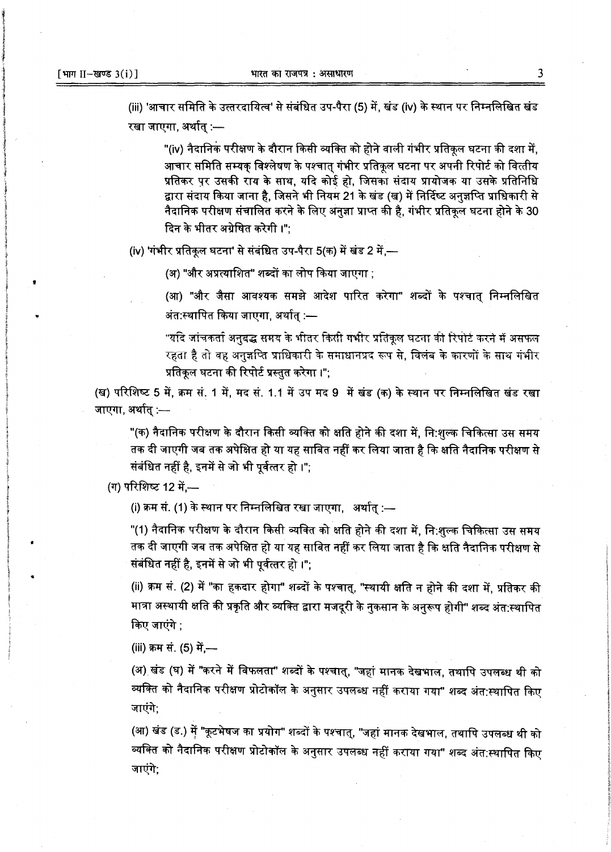(iii) 'आचार समिति के उत्तरदायित्व' से संबंधित उप-पैरा (5) में, खंड (iv) के स्थान पर निम्नलिखित खंड रखा जाएगा, अर्थात :—

"(iv) नैदानिक परीक्षण के दौरान किसी व्यक्ति को होने वाली गंभीर प्रतिकृल घटना की दशा में. आचार समिति सम्यक विश्लेषण के पश्चात गंभीर प्रतिकल घटना पर अपनी रिपोर्ट को वित्तीय प्रतिकर पर उसकी राय के साथ. यदि कोई हो. जिसका संदाय प्रायोजक या उसके प्रतिनिधि द्वारा संदाय किया जाना है, जिसने भी नियम 21 के खंड (ख) में निर्दिष्ट अनुज्ञप्ति प्राधिकारी से नैदानिक परीक्षण संचालित करने के लिए अनुज्ञा प्राप्त की है, गंभीर प्रतिकृल घटना होने के 30 दिन के भीतर अग्रेषित करेगी।":

(iv) 'गंभीर प्रतिकूल घटना' से संबंधित उप-पैरा 5(क) में खंड 2 में,---

(अ) "और अप्रत्याशित" शब्दों का लोप किया जाएगा :

(आ) "और जैसा आवश्यक समझे आदेश पारित करेगा" शब्दों के पश्चात निम्नलिखित अंत:स्थापित किया जाएगा, अर्थात् :---

"यदि जांचकर्ता अनुबद्ध समय के भीतर किसी गभीर प्रतिकृल घटना की रिपोर्ट करने में असफल रहता है तो वह अनुज्ञप्ति प्राधिकारी के समाधानप्रद रूप से, विलंब के कारणों के साथ गंभीर प्रतिकुल घटना की रिपोर्ट प्रस्तुत करेगा।":

(ख) परिशिष्ट 5 में, क्रम सं. 1 में, मद सं. 1.1 में उप मद 9 में खंड (क) के स्थान पर निम्नलिखित खंड रखा जाएगा, अर्थात् :-

"(क) नैदानिक परीक्षण के दौरान किसी व्यक्ति को क्षति होने की दशा में, नि:शुल्क चिकित्सा उस समय तक दी जाएगी जब तक अपेक्षित हो या यह साबित नहीं कर लिया जाता है कि क्षति नैदानिक परीक्षण से संबंधित नहीं है, इनमें से जो भी पूर्वत्तर हो ।";

(ग) परिशिष्ट 12 में.--

(i) क्रम सं. (1) के स्थान पर निम्नलिखित रखा जाएगा, अर्थात :—

"(1) नैदानिक परीक्षण के दौरान किसी व्यक्ति को क्षति होने की दशा में, नि:शुल्क चिकित्सा उस समय तक दी जाएगी जब तक अपेक्षित हो या यह साबित नहीं कर लिया जाता है कि क्षति नैदानिक परीक्षण से संबंधित नहीं है, इनमें से जो भी पूर्वत्तर हो ।";

(ii) क्रम सं. (2) में "का हकदार होगा" शब्दों के पश्चात्, "स्थायी क्षति न होने की दशा में, प्रतिकर की मात्रा अस्थायी क्षति की प्रकृति और व्यक्ति द्वारा मजदूरी के नुकसान के अनुरूप होगी" शब्द अंत:स्थापित किए जाएंगे :

(iii) क्रम सं. (5) में.-

(अ) खंड (घ) में "करने में विफलता" शब्दों के पश्चात्, "जहां मानक देखभाल, तथापि उपलब्ध थी को व्यक्ति को नैदानिक परीक्षण प्रोटोकॉल के अनुसार उपलब्ध नहीं कराया गया" शब्द अंत:स्थापित किए जाएंगे.

(आ) खंड (ड.) में "कूटभेषज का प्रयोग" शब्दों के पश्चात्, "जहां मानक देखभाल, तथापि उपलब्ध थी को व्यक्ति को नैदानिक परीक्षण प्रोटोकॉल के अनुसार उपलब्ध नहीं कराया गया" शब्द अंत:स्थापित किए जाएंगे;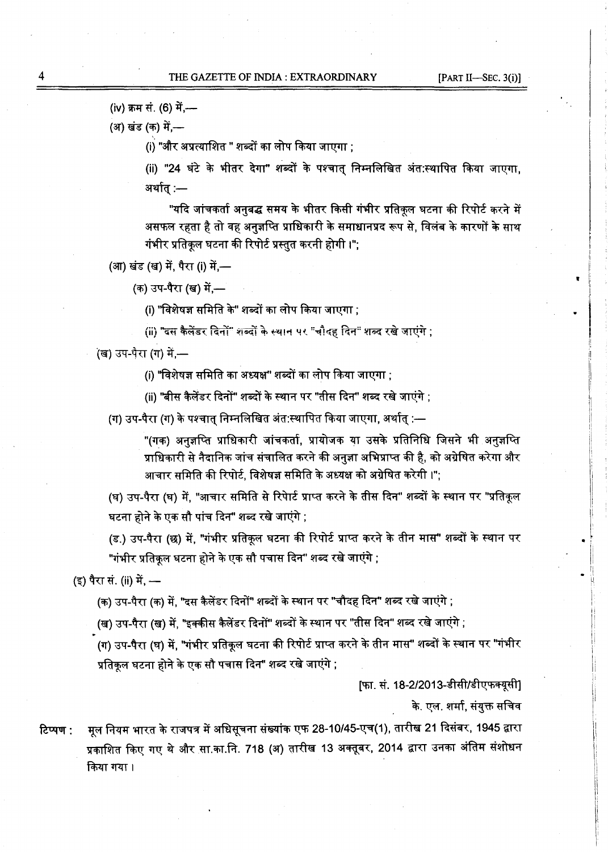(iv) क्रम सं. (6) में.--

(अ) खंड (क) में,—

(i) "और अप्रत्याशित " शब्दों का लोप किया जाएगा :

(ii) "24 घंटे के भीतर देगा" शब्दों के पश्चात निम्नलिखित अंत:स्थापित किया जाएगा. अर्थात् :—

"यदि जांचकर्ता अनुबद्ध समय के भीतर किसी गंभीर प्रतिकूल घटना की रिपोर्ट करने में असफल रहता है तो वह अनुज्ञप्ति प्राधिकारी के समाधानप्रद रूप से, विलंब के कारणों के साथ गंभीर प्रतिकृल घटना की रिपोर्ट प्रस्तुत करनी होगी ।";

(आ) खंड (ख) में, पैरा (i) में,-

(क) उप-पैरा (ख) में —

(i) "विशेषज्ञ समिति के" शब्दों का लोप किया जाएगा ;

(ii) "दस कैलेंडर दिनों" शब्दों के स्थान पर "चौदह दिन" शब्द रखे जाएंगे ;

<o ·'fctm ~ CfiT ar~<rn'· ~ CfiT <:1l11 ~ ~ ;

(ii) "बीस कैलेंडर दिनों" शब्दों के स्थान पर "तीस दिन" शब्द रखे जाएंगे ;

(ग) उप-पैरा (ग) के पश्चात् निम्नलिखित अंत:स्थापित किया जाएगा, अर्थात् :—

ौरा (ग) के पश्चात् निम्नलिखित अंत:स्थापित किया जाएगा, अर्थात् :—<br>"(गक) अनुज्ञप्ति प्राधिकारी जांचकर्ता, प्रायोजक या उसके प्रतिनिधि जिसने भी अनुज्ञप्ति "(गक) अनुज्ञप्ति प्राधिकारी जांचकर्ता, प्रायोजक या उसके प्रतिनिधि जिसने भी अनुज्ञप्ति<br>प्राधिकारी से नैदानिक जांच संचालित करने की अनुज्ञा अभिप्राप्त की है, को अग्रेषित करेगा और आचार समिति की रिपोर्ट, विशेषज्ञ समिति के अध्यक्ष को अग्रेषित करेगी ।";

(घ) उप-पैरा (घ) में. "आचार समिति से रिपेार्ट प्राप्त करने के तीस दिन" शब्दों के स्थान पर "प्रतिकृल घटना होने के एक सौ पांच दिन" शब्द रखे जाएंगे ;

(ड.) उप-पैरा (छ) में, "गंभीर प्रतिकूल घटना की रिपोर्ट प्राप्त करने के तीन मास" शब्दों के स्थान पर "गंभीर प्रतिकूल घटना होने के एक सौ पचास दिन" शब्द रखे जाएंगे ;

(इ) पैरा सं. (ii) में, —

(क) उप-पैरा (क) में, "दस कैलेंडर दिनों" शब्दों के स्थान पर "चौदह दिन" शब्द रखे जाएंगे ;

(ख) उप-पैरा (ख) में, "इक्कीस कैलेंडर दिनों" शब्दों के स्थान पर "तीस दिन" शब्द रखे जाएंगे ;

(ग) उप-पैरा (घ) में, "गंभीर प्रतिकूल घटना की रिपोर्ट प्राप्त करने के तीन मास" शब्दों के स्थान पर "गंभीर प्रतिकुल घटना होने के एक सौ पचास दिन" शब्द रखे जाएंगे ;

[फा. सं. 18-2/2013-डीसी/डीएफक्यूसी]

के. एल. शर्मा, संयुक्त सचिव

•

टिप्पण : मूल नियम भारत के राजपत्र में अधिसूचना संख्यांक एफ 28-10/45-एच(1), तारीख 21 दिसंबर, 1945 द्वारा प्रकाशित किए गए थे और सा.का.नि. 718 (अ) तारीख 13 अक्तूबर, 2014 द्वारा उनका अंतिम संशोधन किया गया।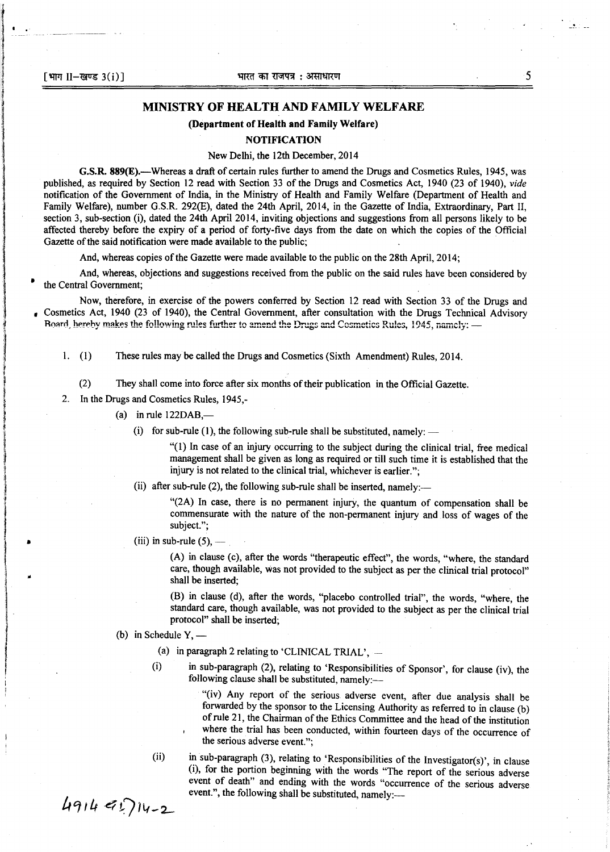l

I

l

i<br>Indonésia<br>Indonésia f i<br>International<br>International }<br>}<br>}

i<br>India at Anggota (India)<br>India at Anggota (India)

llandia<br>Lista del Carlo Carlo de Santo de Santo de Santo de Santo de Santo de Santo de Santo de Santo de Santo de San

ing and the construction of the construction of the construction of the construction of the construction of the<br>International construction of the construction of the construction of the construction of the construction of<br>

•

line alan sakanan<br>|<br>|-

film<br>film<br>film

## MINISTRY OF HEALTH AND FAMILY WELFARE

## (Department of Health and Family Welfare)

## **NOTIFICATION**

## New Delhi, the 12th December, 2014

G.S.R. 889(E).—Whereas a draft of certain rules further to amend the Drugs and Cosmetics Rules, 1945, was published, as required by Section 12 read with Section 33 of the Drugs and Cosmetics Act, 1940 (23 of 1940), *vide*  notification of the Government of India, in the Ministry of Health and Family Welfare (Department of Health and Family Welfare), number G.S.R. 292(E), dated the 24th April, 2014, in the Gazette of India, Extraordinary, Part II, section 3, sub-section (i), dated the 24th April 2014, inviting objections and suggestions from all persons likely to be affected thereby before the expiry of a period of forty-five days from the date on which the copies of the Official Gazette of the said notification were made available to the public;

And, whereas copies of the Gazette were made available to the public on the 28th April, 2014;

And, whereas, objections and suggestions received from the public on the said rules have been considered by the Central Government:

Now, therefore, in exercise of the powers conferred by Section 12 read with Section 33 of the Drugs and , Cosmetics Act, 1940 (23 of 1940), the Central Government, after consultation with the Drugs Technical Advisory Roard, hereby makes the following rules further to amend the Drugs and Cosmetics Rules, 1945, namely: -

1. (1) These rules may be called the Drugs and Cosmetics (Sixth Amendment) Rules, 2014.

(2) They shall come into force after six months of their publication in the Official Gazette.

2. In the Drugs and Cosmetics Rules, 1945,-

- (a) in rule  $122DAB$ ,-
	- (i) for sub-rule (1), the following sub-rule shall be substituted, namely:

"(1) In case of an injury occurring to the subject during the clinical trial, free medical management shall be given as long as required or till such time it is established that the injury is not related to the clinical trial, whichever is earlier.";

(ii) after sub-rule (2), the following sub-rule shall be inserted, namely:-

"(2A) In case, there is no permanent injury, the quantum of compensation shall be commensurate with the nature of the non-permanent injury and loss of wages of the subject.";

(iii) in sub-rule  $(5)$ , —

(A) in clause (c), after the words "therapeutic effect", the words, "where, the standard care, though available, was not provided to the subject as per the clinical trial protocol" shall be inserted;

(B) in clause (d), after the words, "placebo controlled trial", the words, "where, the standard care, though available, was not provided to the subject as per the clinical trial protocol" shall be inserted;

(b) in Schedule  $Y, -$ 

(a) in paragraph 2 relating to 'CLINICAL TRIAL',  $-$ 

(i) in sub-paragraph (2), relating to 'Responsibilities of Sponsor', for clause (iv), the following clause shall be substituted, namely:-

> "(iv) Any report of the serious adverse event, after due analysis shall be forwarded by the sponsor to the Licensing Authority as referred to in clause (b) of rule 21, the Chairman of the Ethics Committee and the head of the institution where the trial has been conducted, within fourteen days of the occurrence of the serious adverse event.";

(ii) in sub-paragraph (3), relating to 'Responsibilities of the Investigator(s)', in clause (1), for the portion beginning with the words "The report of the serious adverse event of death" and ending with the words "occurrence of the serious adverse event.", the following shall be substituted, namely:---

 $491491714-2$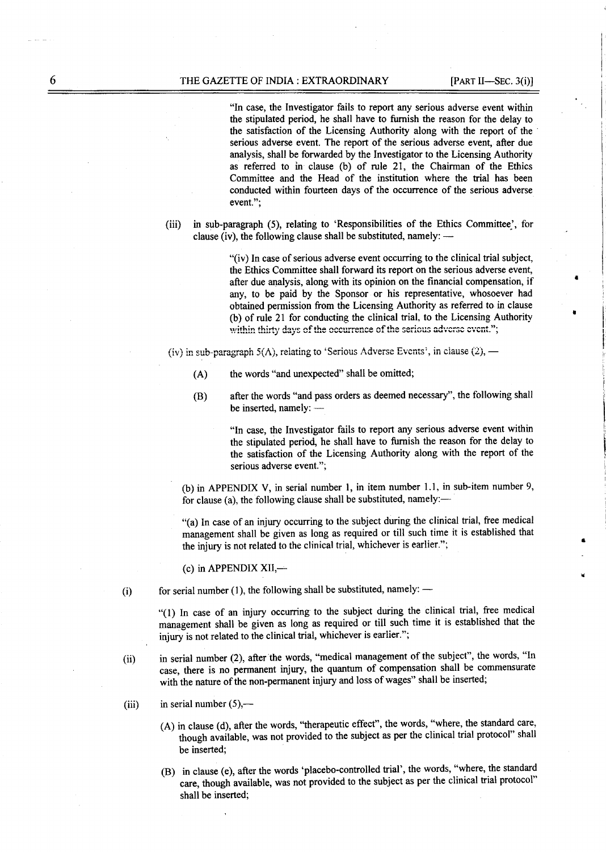"In case, the Investigator fails to report any serious adverse event within the stipulated period, he shall have to furnish the reason for the delay to the satisfaction of the Licensing Authority along with the report of the serious adverse event. The report of the serious adverse event, after due analysis, shall be forwarded by the Investigator to the Licensing Authority as referred to in clause (b) of rule 21, the Chairman of the Ethics Committee and the Head of the institution where the trial has been conducted within fourteen days of the occurrence of the serious adverse event.":

in sub-paragraph (5), relating to 'Responsibilities of the Ethics Committee', for  $(iii)$ clause (iv), the following clause shall be substituted, namely:  $-$ 

> "(iv) In case of serious adverse event occurring to the clinical trial subject, the Ethics Committee shall forward its report on the serious adverse event, after due analysis, along with its opinion on the financial compensation, if any, to be paid by the Sponsor or his representative, whosoever had obtained permission from the Licensing Authority as referred to in clause (b) of rule 21 for conducting the clinical trial, to the Licensing Authority within thirty days of the occurrence of the serious adverse event.";

(iv) in sub-paragraph  $5(\Lambda)$ , relating to 'Serious Adverse Events', in clause (2), —

- the words "and unexpected" shall be omitted;  $(A)$
- after the words "and pass orders as deemed necessary", the following shall  $(B)$ be inserted, namely: -

"In case, the Investigator fails to report any serious adverse event within the stipulated period, he shall have to furnish the reason for the delay to the satisfaction of the Licensing Authority along with the report of the serious adverse event.":

(b) in APPENDIX V, in serial number 1, in item number 1.1, in sub-item number 9, for clause (a), the following clause shall be substituted, namely:-

"(a) In case of an injury occurring to the subject during the clinical trial, free medical management shall be given as long as required or till such time it is established that the injury is not related to the clinical trial, whichever is earlier.";

 $(c)$  in APPENDIX XII,—

for serial number (1), the following shall be substituted, namely:  $-$ 

"(1) In case of an injury occurring to the subject during the clinical trial, free medical management shall be given as long as required or till such time it is established that the injury is not related to the clinical trial, whichever is earlier.";

- in serial number (2), after the words, "medical management of the subject", the words, "In  $(ii)$ case, there is no permanent injury, the quantum of compensation shall be commensurate with the nature of the non-permanent injury and loss of wages" shall be inserted;
- in serial number  $(5)$ ,—  $(iii)$

 $(i)$ 

- (A) in clause (d), after the words, "therapeutic effect", the words, "where, the standard care, though available, was not provided to the subject as per the clinical trial protocol" shall be inserted;
- (B) in clause (e), after the words 'placebo-controlled trial', the words, "where, the standard care, though available, was not provided to the subject as per the clinical trial protocol" shall be inserted;